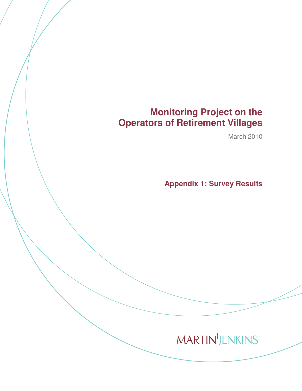# **Monitoring Project on the Operators of Retirement Villages**

March 2010

**Appendix 1: Survey Results** 

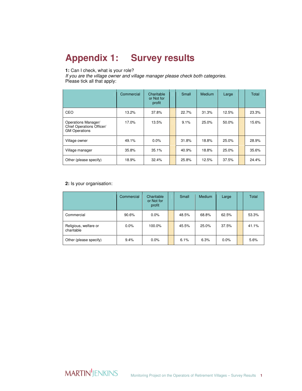# **Appendix 1: Survey results**

### **1:** Can I check, what is your role?

If you are the village owner and village manager please check both categories. Please tick all that apply:

|                                                                          | Commercial | Charitable<br>or Not for<br>profit | Small | Medium | Large | <b>Total</b> |
|--------------------------------------------------------------------------|------------|------------------------------------|-------|--------|-------|--------------|
| CEO                                                                      | 13.2%      | 37.8%                              | 22.7% | 31.3%  | 12.5% | 23.3%        |
| Operations Manager/<br>Chief Operations Officer/<br><b>GM Operations</b> | 17.0%      | 13.5%                              | 9.1%  | 25.0%  | 50.0% | 15.6%        |
| Village owner                                                            | 49.1%      | 0.0%                               | 31.8% | 18.8%  | 25.0% | 28.9%        |
| Village manager                                                          | 35.8%      | 35.1%                              | 40.9% | 18.8%  | 25.0% | 35.6%        |
| Other (please specify)                                                   | 18.9%      | 32.4%                              | 25.8% | 12.5%  | 37.5% | 24.4%        |

#### **2:** Is your organisation:

|                                     | Commercial | Charitable<br>or Not for<br>profit | Small | <b>Medium</b> | Large   | Total |
|-------------------------------------|------------|------------------------------------|-------|---------------|---------|-------|
| Commercial                          | 90.6%      | 0.0%                               | 48.5% | 68.8%         | 62.5%   | 53.3% |
| Religious, welfare or<br>charitable | 0.0%       | 100.0%                             | 45.5% | 25.0%         | 37.5%   | 41.1% |
| Other (please specify)              | 9.4%       | 0.0%                               | 6.1%  | 6.3%          | $0.0\%$ | 5.6%  |

**MARTIN'**JENKINS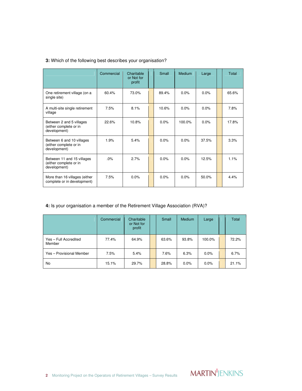|  |  |  | 3: Which of the following best describes your organisation? |  |
|--|--|--|-------------------------------------------------------------|--|
|  |  |  |                                                             |  |

|                                                                      | Commercial | Charitable<br>or Not for<br>profit | Small   | <b>Medium</b> | Large | Total |
|----------------------------------------------------------------------|------------|------------------------------------|---------|---------------|-------|-------|
| One retirement village (on a<br>single site)                         | 60.4%      | 73.0%                              | 89.4%   | $0.0\%$       | 0.0%  | 65.6% |
| A multi-site single retirement<br>village                            | 7.5%       | 8.1%                               | 10.6%   | 0.0%          | 0.0%  | 7.8%  |
| Between 2 and 5 villages<br>(either complete or in<br>development)   | 22.6%      | 10.8%                              | $0.0\%$ | 100.0%        | 0.0%  | 17.8% |
| Between 6 and 10 villages<br>(either complete or in<br>development)  | 1.9%       | 5.4%                               | $0.0\%$ | 0.0%          | 37.5% | 3.3%  |
| Between 11 and 15 villages<br>(either complete or in<br>development) | .0%        | 2.7%                               | 0.0%    | 0.0%          | 12.5% | 1.1%  |
| More than 16 villages (either<br>complete or in development)         | 7.5%       | 0.0%                               | $0.0\%$ | 0.0%          | 50.0% | 4.4%  |

# **4:** Is your organisation a member of the Retirement Village Association (RVA)?

|                                 | Commercial | Charitable<br>or Not for<br>profit | Small | Medium | Large   | Total |
|---------------------------------|------------|------------------------------------|-------|--------|---------|-------|
| Yes - Full Accredited<br>Member | 77.4%      | 64.9%                              | 63.6% | 93.8%  | 100.0%  | 72.2% |
| Yes - Provisional Member        | 7.5%       | 5.4%                               | 7.6%  | 6.3%   | $0.0\%$ | 6.7%  |
| <b>No</b>                       | 15.1%      | 29.7%                              | 28.8% | 0.0%   | 0.0%    | 21.1% |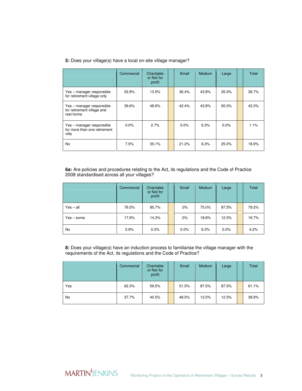|  |  |  |  | 5: Does your village(s) have a local on-site village manager? |
|--|--|--|--|---------------------------------------------------------------|
|  |  |  |  |                                                               |

|                                                                      | Commercial | Charitable<br>or Not for<br>profit | Small | <b>Medium</b> | Large   | Total |
|----------------------------------------------------------------------|------------|------------------------------------|-------|---------------|---------|-------|
| Yes – manager responsible<br>for retirement village only             | 52.8%      | 13.5%                              | 36.4% | 43.8%         | 25.0%   | 36.7% |
| Yes - manager responsible<br>for retirement village and<br>rest-home | 39.6%      | 48.6%                              | 42.4% | 43.8%         | 50.0%   | 43.3% |
| Yes - manager responsible<br>for more than one retirement<br>villa   | 0.0%       | 2.7%                               | 0.0%  | 6.3%          | $0.0\%$ | 1.1%  |
| No                                                                   | 7.5%       | 35.1%                              | 21.2% | 6.3%          | 25.0%   | 18.9% |

**6a:** Are policies and procedures relating to the Act, its regulations and the Code of Practice 2008 standardised across all your villages?

|              | Commercial | Charitable<br>or Not for<br>profit | Small  | <b>Medium</b> | Large | Total |
|--------------|------------|------------------------------------|--------|---------------|-------|-------|
| $Yes - all$  | 76.5%      | 85.7%                              | $.0\%$ | 75.0%         | 87.5% | 79.2% |
| $Yes - some$ | 17.6%      | 14.3%                              | $.0\%$ | 18.8%         | 12.5% | 16.7% |
| No           | 5.9%       | 0.0%                               | 0.0%   | 6.3%          | 0.0%  | 4.2%  |

**8:** Does your village(s) have an induction process to familiarise the village manager with the requirements of the Act, its regulations and the Code of Practice?

|     | Commercial | Charitable<br>or Not for<br>profit | Small | Medium | Large | Total |
|-----|------------|------------------------------------|-------|--------|-------|-------|
| Yes | 62.3%      | 59.5%                              | 51.5% | 87.5%  | 87.5% | 61.1% |
| No  | 37.7%      | 40.5%                              | 48.5% | 12.5%  | 12.5% | 38.9% |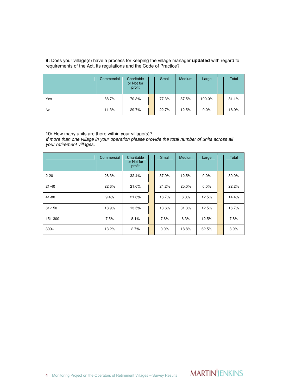#### **9:** Does your village(s) have a process for keeping the village manager **updated** with regard to requirements of the Act, its regulations and the Code of Practice?

|     | Commercial | Charitable<br>or Not for<br>profit | Small | Medium | Large  | Total |
|-----|------------|------------------------------------|-------|--------|--------|-------|
| Yes | 88.7%      | 70.3%                              | 77.3% | 87.5%  | 100.0% | 81.1% |
| No  | 11.3%      | 29.7%                              | 22.7% | 12.5%  | 0.0%   | 18.9% |

#### **10:** How many units are there within your village(s)?

If more than one village in your operation please provide the total number of units across all your retirement villages.

|           | Commercial | Charitable<br>or Not for<br>profit | Small | <b>Medium</b> | Large   | Total |
|-----------|------------|------------------------------------|-------|---------------|---------|-------|
| $2 - 20$  | 28.3%      | 32.4%                              | 37.9% | 12.5%         | $0.0\%$ | 30.0% |
| $21 - 40$ | 22.6%      | 21.6%                              | 24.2% | 25.0%         | $0.0\%$ | 22.2% |
| $41 - 80$ | 9.4%       | 21.6%                              | 16.7% | 6.3%          | 12.5%   | 14.4% |
| 81-150    | 18.9%      | 13.5%                              | 13.6% | 31.3%         | 12.5%   | 16.7% |
| 151-300   | 7.5%       | 8.1%                               | 7.6%  | 6.3%          | 12.5%   | 7.8%  |
| $300+$    | 13.2%      | 2.7%                               | 0.0%  | 18.8%         | 62.5%   | 8.9%  |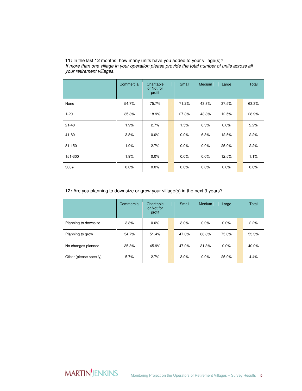|           | Commercial | Charitable<br>or Not for<br>profit | Small | Medium  | Large | Total |
|-----------|------------|------------------------------------|-------|---------|-------|-------|
| None      | 54.7%      | 75.7%                              | 71.2% | 43.8%   | 37.5% | 63.3% |
| $1 - 20$  | 35.8%      | 18.9%                              | 27.3% | 43.8%   | 12.5% | 28.9% |
| $21 - 40$ | 1.9%       | 2.7%                               | 1.5%  | 6.3%    | 0.0%  | 2.2%  |
| 41-80     | 3.8%       | 0.0%                               | 0.0%  | 6.3%    | 12.5% | 2.2%  |
| 81-150    | 1.9%       | 2.7%                               | 0.0%  | $0.0\%$ | 25.0% | 2.2%  |
| 151-300   | 1.9%       | 0.0%                               | 0.0%  | 0.0%    | 12.5% | 1.1%  |
| $300+$    | 0.0%       | 0.0%                               | 0.0%  | 0.0%    | 0.0%  | 0.0%  |

**11:** In the last 12 months, how many units have you added to your village(s)? If more than one village in your operation please provide the total number of units across all your retirement villages.

#### **12:** Are you planning to downsize or grow your village(s) in the next 3 years?

|                        | Commercial | Charitable<br>or Not for<br>profit | Small | Medium  | Large | Total |
|------------------------|------------|------------------------------------|-------|---------|-------|-------|
| Planning to downsize   | 3.8%       | 0.0%                               | 3.0%  | $0.0\%$ | 0.0%  | 2.2%  |
| Planning to grow       | 54.7%      | 51.4%                              | 47.0% | 68.8%   | 75.0% | 53.3% |
| No changes planned     | 35.8%      | 45.9%                              | 47.0% | 31.3%   | 0.0%  | 40.0% |
| Other (please specify) | 5.7%       | 2.7%                               | 3.0%  | $0.0\%$ | 25.0% | 4.4%  |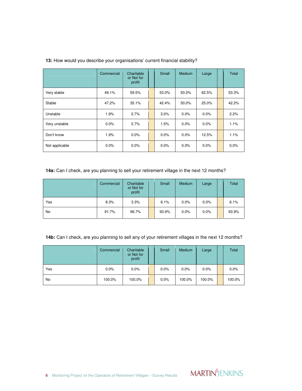|                | Commercial | Charitable<br>or Not for<br>profit | Small | <b>Medium</b> | Large   | Total |
|----------------|------------|------------------------------------|-------|---------------|---------|-------|
| Very stable    | 49.1%      | 59.5%                              | 53.0% | 50.0%         | 62.5%   | 53.3% |
| Stable         | 47.2%      | 35.1%                              | 42.4% | 50.0%         | 25.0%   | 42.2% |
| Unstable       | 1.9%       | 2.7%                               | 3.0%  | 0.0%          | $0.0\%$ | 2.2%  |
| Very unstable  | $0.0\%$    | 2.7%                               | 1.5%  | 0.0%          | $0.0\%$ | 1.1%  |
| Don't know     | 1.9%       | 0.0%                               | 0.0%  | 0.0%          | 12.5%   | 1.1%  |
| Not applicable | 0.0%       | 0.0%                               | 0.0%  | 0.0%          | $0.0\%$ | 0.0%  |

#### **13:** How would you describe your organisations' current financial stability?

#### **14a:** Can I check, are you planning to sell your retirement village in the next 12 months?

|     | Commercial | Charitable<br>or Not for<br>profit | Small | Medium | Large   | Total |
|-----|------------|------------------------------------|-------|--------|---------|-------|
| Yes | 8.3%       | 3.3%                               | 6.1%  | 0.0%   | $0.0\%$ | 6.1%  |
| No  | 91.7%      | 96.7%                              | 93.9% | 0.0%   | 0.0%    | 93.9% |

#### **14b:** Can I check, are you planning to sell any of your retirement villages in the next 12 months?

|     | Commercial | Charitable<br>or Not for<br>profit | Small | <b>Medium</b> | Large  | Total  |
|-----|------------|------------------------------------|-------|---------------|--------|--------|
| Yes | 0.0%       | 0.0%                               | 0.0%  | 0.0%          | 0.0%   | 0.0%   |
| No  | 100.0%     | 100.0%                             | 0.0%  | 100.0%        | 100.0% | 100.0% |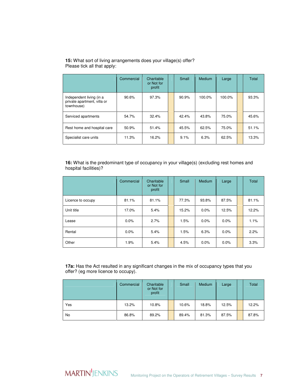|                                                                       | Commercial | Charitable<br>or Not for<br>profit | Small | Medium | Large  | Total |
|-----------------------------------------------------------------------|------------|------------------------------------|-------|--------|--------|-------|
| Independent living (in a<br>private apartment, villa or<br>townhouse) | 90.6%      | 97.3%                              | 90.9% | 100.0% | 100.0% | 93.3% |
| Serviced apartments                                                   | 54.7%      | 32.4%                              | 42.4% | 43.8%  | 75.0%  | 45.6% |
| Rest home and hospital care                                           | 50.9%      | 51.4%                              | 45.5% | 62.5%  | 75.0%  | 51.1% |
| Specialist care units                                                 | 11.3%      | 16.2%                              | 9.1%  | 6.3%   | 62.5%  | 13.3% |

**15:** What sort of living arrangements does your village(s) offer? Please tick all that apply:

**16:** What is the predominant type of occupancy in your village(s) (excluding rest homes and hospital facilities)?

|                   | Commercial | Charitable<br>or Not for<br>profit | Small | Medium  | Large | Total |
|-------------------|------------|------------------------------------|-------|---------|-------|-------|
| Licence to occupy | 81.1%      | 81.1%                              | 77.3% | 93.8%   | 87.5% | 81.1% |
| Unit title        | 17.0%      | 5.4%                               | 15.2% | $0.0\%$ | 12.5% | 12.2% |
| Lease             | 0.0%       | 2.7%                               | 1.5%  | $0.0\%$ | 0.0%  | 1.1%  |
| Rental            | 0.0%       | 5.4%                               | 1.5%  | 6.3%    | 0.0%  | 2.2%  |
| Other             | 1.9%       | 5.4%                               | 4.5%  | $0.0\%$ | 0.0%  | 3.3%  |

**17a:** Has the Act resulted in any significant changes in the mix of occupancy types that you offer? (eg more licence to occupy).

|     | Commercial | Charitable<br>or Not for<br>profit | Small | Medium | Large | <b>Total</b> |
|-----|------------|------------------------------------|-------|--------|-------|--------------|
| Yes | 13.2%      | 10.8%                              | 10.6% | 18.8%  | 12.5% | 12.2%        |
| No  | 86.8%      | 89.2%                              | 89.4% | 81.3%  | 87.5% | 87.8%        |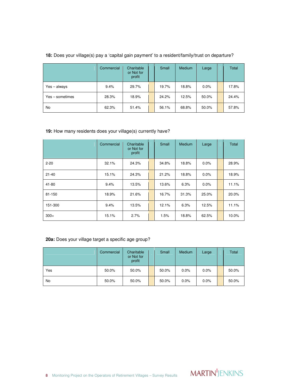|                 | Commercial | Charitable<br>or Not for<br>profit | Small | Medium | Large   | Total |
|-----------------|------------|------------------------------------|-------|--------|---------|-------|
| Yes - always    | 9.4%       | 29.7%                              | 19.7% | 18.8%  | $0.0\%$ | 17.8% |
| Yes - sometimes | 28.3%      | 18.9%                              | 24.2% | 12.5%  | 50.0%   | 24.4% |
| <b>No</b>       | 62.3%      | 51.4%                              | 56.1% | 68.8%  | 50.0%   | 57.8% |

### **18:** Does your village(s) pay a 'capital gain payment' to a resident/family/trust on departure?

## **19:** How many residents does your village(s) currently have?

|           | Commercial | Charitable<br>or Not for<br>profit | Small | Medium | Large   | Total |
|-----------|------------|------------------------------------|-------|--------|---------|-------|
| $2 - 20$  | 32.1%      | 24.3%                              | 34.8% | 18.8%  | $0.0\%$ | 28.9% |
| $21 - 40$ | 15.1%      | 24.3%                              | 21.2% | 18.8%  | $0.0\%$ | 18.9% |
| 41-80     | 9.4%       | 13.5%                              | 13.6% | 6.3%   | $0.0\%$ | 11.1% |
| 81-150    | 18.9%      | 21.6%                              | 16.7% | 31.3%  | 25.0%   | 20.0% |
| 151-300   | 9.4%       | 13.5%                              | 12.1% | 6.3%   | 12.5%   | 11.1% |
| $300+$    | 15.1%      | 2.7%                               | 1.5%  | 18.8%  | 62.5%   | 10.0% |

#### **20a:** Does your village target a specific age group?

|     | Commercial | Charitable<br>or Not for<br>profit | Small | Medium  | Large | Total |
|-----|------------|------------------------------------|-------|---------|-------|-------|
| Yes | 50.0%      | 50.0%                              | 50.0% | $0.0\%$ | 0.0%  | 50.0% |
| No  | 50.0%      | 50.0%                              | 50.0% | 0.0%    | 0.0%  | 50.0% |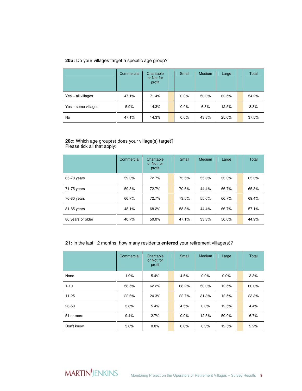#### **20b:** Do your villages target a specific age group?

|                     | Commercial | Charitable<br>or Not for<br>profit | Small   | <b>Medium</b> | Large | Total |
|---------------------|------------|------------------------------------|---------|---------------|-------|-------|
| Yes - all villages  | 47.1%      | 71.4%                              | $0.0\%$ | 50.0%         | 62.5% | 54.2% |
| Yes - some villages | 5.9%       | 14.3%                              | $0.0\%$ | 6.3%          | 12.5% | 8.3%  |
| No                  | 47.1%      | 14.3%                              | $0.0\%$ | 43.8%         | 25.0% | 37.5% |

#### **20c:** Which age group(s) does your village(s) target? Please tick all that apply:

|                   | Commercial | Charitable<br>or Not for<br>profit | Small | Medium | Large | Total |
|-------------------|------------|------------------------------------|-------|--------|-------|-------|
| 65-70 years       | 59.3%      | 72.7%                              | 73.5% | 55.6%  | 33.3% | 65.3% |
| 71-75 years       | 59.3%      | 72.7%                              | 70.6% | 44.4%  | 66.7% | 65.3% |
| 76-80 years       | 66.7%      | 72.7%                              | 73.5% | 55.6%  | 66.7% | 69.4% |
| 81-85 years       | 48.1%      | 68.2%                              | 58.8% | 44.4%  | 66.7% | 57.1% |
| 86 years or older | 40.7%      | 50.0%                              | 47.1% | 33.3%  | 50.0% | 44.9% |

#### **21:** In the last 12 months, how many residents **entered** your retirement village(s)?

|            | Commercial | Charitable<br>or Not for<br>profit | Small | Medium  | Large | <b>Total</b> |
|------------|------------|------------------------------------|-------|---------|-------|--------------|
| None       | 1.9%       | 5.4%                               | 4.5%  | 0.0%    | 0.0%  | 3.3%         |
| $1 - 10$   | 58.5%      | 62.2%                              | 68.2% | 50.0%   | 12.5% | 60.0%        |
| $11 - 25$  | 22.6%      | 24.3%                              | 22.7% | 31.3%   | 12.5% | 23.3%        |
| 26-50      | 3.8%       | 5.4%                               | 4.5%  | $0.0\%$ | 12.5% | 4.4%         |
| 51 or more | 9.4%       | 2.7%                               | 0.0%  | 12.5%   | 50.0% | 6.7%         |
| Don't know | 3.8%       | $0.0\%$                            | 0.0%  | 6.3%    | 12.5% | 2.2%         |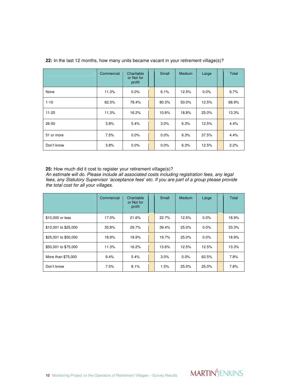|            | Commercial | Charitable<br>or Not for<br>profit | Small | <b>Medium</b> | Large   | Total |
|------------|------------|------------------------------------|-------|---------------|---------|-------|
| None       | 11.3%      | $0.0\%$                            | 6.1%  | 12.5%         | $0.0\%$ | 6.7%  |
| $1 - 10$   | 62.3%      | 78.4%                              | 80.3% | 50.0%         | 12.5%   | 68.9% |
| $11 - 25$  | 11.3%      | 16.2%                              | 10.6% | 18.8%         | 25.0%   | 13.3% |
| 26-50      | 3.8%       | 5.4%                               | 3.0%  | 6.3%          | 12.5%   | 4.4%  |
| 51 or more | 7.5%       | 0.0%                               | 0.0%  | 6.3%          | 37.5%   | 4.4%  |
| Don't know | 3.8%       | $0.0\%$                            | 0.0%  | 6.3%          | 12.5%   | 2.2%  |

**22:** In the last 12 months, how many units became vacant in your retirement village(s)?

**25:** How much did it cost to register your retirement village(s)?

An estimate will do. Please include all associated costs including registration fees, any legal fees, any Statutory Supervisor 'acceptance fees' etc. If you are part of a group please provide the total cost for all your villages.

|                      | Commercial | Charitable<br>or Not for<br>profit | Small | Medium | Large   | Total |
|----------------------|------------|------------------------------------|-------|--------|---------|-------|
| \$10,000 or less     | 17.0%      | 21.6%                              | 22.7% | 12.5%  | $0.0\%$ | 18.9% |
| \$10,001 to \$25,000 | 35.8%      | 29.7%                              | 39.4% | 25.0%  | $0.0\%$ | 33.3% |
| \$25,001 to \$50,000 | 18.9%      | 18.9%                              | 19.7% | 25.0%  | $0.0\%$ | 18.9% |
| \$50,001 to \$75,000 | 11.3%      | 16.2%                              | 13.6% | 12.5%  | 12.5%   | 13.3% |
| More than \$75,000   | 9.4%       | 5.4%                               | 3.0%  | 0.0%   | 62.5%   | 7.8%  |
| Don't know           | 7.5%       | 8.1%                               | 1.5%  | 25.0%  | 25.0%   | 7.8%  |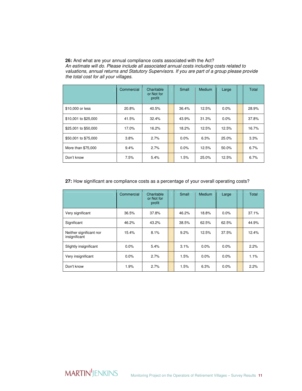#### **26:** And what are your annual compliance costs associated with the Act? An estimate will do. Please include all associated annual costs including costs related to valuations, annual returns and Statutory Supervisors. If you are part of a group please provide the total cost for all your villages.

|                      | Commercial | Charitable<br>or Not for<br>profit | Small | Medium | Large   | Total |
|----------------------|------------|------------------------------------|-------|--------|---------|-------|
| \$10,000 or less     | 20.8%      | 40.5%                              | 36.4% | 12.5%  | $0.0\%$ | 28.9% |
| \$10,001 to \$25,000 | 41.5%      | 32.4%                              | 43.9% | 31.3%  | 0.0%    | 37.8% |
| \$25,001 to \$50,000 | 17.0%      | 16.2%                              | 18.2% | 12.5%  | 12.5%   | 16.7% |
| \$50,001 to \$75,000 | 3.8%       | 2.7%                               | 0.0%  | 6.3%   | 25.0%   | 3.3%  |
| More than \$75,000   | 9.4%       | 2.7%                               | 0.0%  | 12.5%  | 50.0%   | 6.7%  |
| Don't know           | 7.5%       | 5.4%                               | 1.5%  | 25.0%  | 12.5%   | 6.7%  |

#### **27:** How significant are compliance costs as a percentage of your overall operating costs?

|                                          | Commercial | Charitable<br>or Not for<br>profit | Small | Medium  | Large | Total |
|------------------------------------------|------------|------------------------------------|-------|---------|-------|-------|
| Very significant                         | 36.5%      | 37.8%                              | 46.2% | 18.8%   | 0.0%  | 37.1% |
| Significant                              | 46.2%      | 43.2%                              | 38.5% | 62.5%   | 62.5% | 44.9% |
| Neither significant nor<br>insignificant | 15.4%      | 8.1%                               | 9.2%  | 12.5%   | 37.5% | 12.4% |
| Slightly insignificant                   | $0.0\%$    | 5.4%                               | 3.1%  | $0.0\%$ | 0.0%  | 2.2%  |
| Very insignificant                       | $0.0\%$    | 2.7%                               | 1.5%  | $0.0\%$ | 0.0%  | 1.1%  |
| Don't know                               | 1.9%       | 2.7%                               | 1.5%  | 6.3%    | 0.0%  | 2.2%  |

**MARTIN'**JENKINS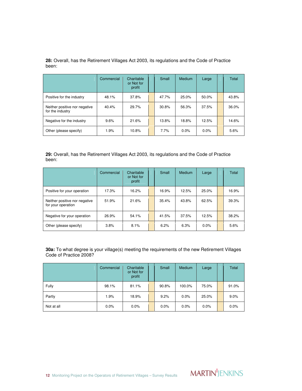| 28: Overall, has the Retirement Villages Act 2003, its regulations and the Code of Practice<br>been: |  |  |  |  |
|------------------------------------------------------------------------------------------------------|--|--|--|--|
|                                                                                                      |  |  |  |  |

|                                                   | Commercial | Charitable<br>or Not for<br>profit | Small | Medium | Large   | Total |
|---------------------------------------------------|------------|------------------------------------|-------|--------|---------|-------|
| Positive for the industry                         | 48.1%      | 37.8%                              | 47.7% | 25.0%  | 50.0%   | 43.8% |
| Neither positive nor negative<br>for the industry | 40.4%      | 29.7%                              | 30.8% | 56.3%  | 37.5%   | 36.0% |
| Negative for the industry                         | 9.6%       | 21.6%                              | 13.8% | 18.8%  | 12.5%   | 14.6% |
| Other (please specify)                            | 1.9%       | 10.8%                              | 7.7%  | 0.0%   | $0.0\%$ | 5.6%  |

**29:** Overall, has the Retirement Villages Act 2003, its regulations and the Code of Practice been:

|                                                     | Commercial | Charitable<br>or Not for<br>profit | Small | Medium | Large   | Total |
|-----------------------------------------------------|------------|------------------------------------|-------|--------|---------|-------|
| Positive for your operation                         | 17.3%      | 16.2%                              | 16.9% | 12.5%  | 25.0%   | 16.9% |
| Neither positive nor negative<br>for your operation | 51.9%      | 21.6%                              | 35.4% | 43.8%  | 62.5%   | 39.3% |
| Negative for your operation                         | 26.9%      | 54.1%                              | 41.5% | 37.5%  | 12.5%   | 38.2% |
| Other (please specify)                              | 3.8%       | 8.1%                               | 6.2%  | 6.3%   | $0.0\%$ | 5.6%  |

**30a:** To what degree is your village(s) meeting the requirements of the new Retirement Villages Code of Practice 2008?

|            | Commercial | Charitable<br>or Not for<br>profit | Small | Medium  | Large   | Total |
|------------|------------|------------------------------------|-------|---------|---------|-------|
| Fully      | 98.1%      | 81.1%                              | 90.8% | 100.0%  | 75.0%   | 91.0% |
| Partly     | 1.9%       | 18.9%                              | 9.2%  | 0.0%    | 25.0%   | 9.0%  |
| Not at all | $0.0\%$    | $0.0\%$                            | 0.0%  | $0.0\%$ | $0.0\%$ | 0.0%  |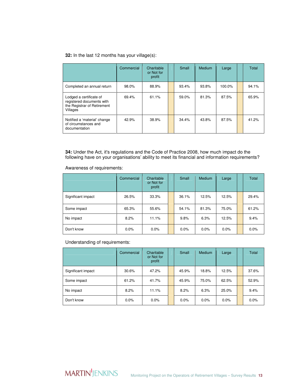#### **32:** In the last 12 months has your village(s):

|                                                                                                 | Commercial | Charitable<br>or Not for<br>profit | Small | Medium | Large  | Total |
|-------------------------------------------------------------------------------------------------|------------|------------------------------------|-------|--------|--------|-------|
| Completed an annual return                                                                      | 98.0%      | 88.9%                              | 93.4% | 93.8%  | 100.0% | 94.1% |
| Lodged a certificate of<br>registered documents with<br>the Registrar of Retirement<br>Villages | 69.4%      | 61.1%                              | 59.0% | 81.3%  | 87.5%  | 65.9% |
| Notified a 'material' change<br>of circumstances and<br>documentation                           | 42.9%      | 38.9%                              | 34.4% | 43.8%  | 87.5%  | 41.2% |

**34:** Under the Act, it's regulations and the Code of Practice 2008, how much impact do the following have on your organisations' ability to meet its financial and information requirements?

#### Awareness of requirements:

|                    | Commercial | Charitable<br>or Not for<br>profit | Small | <b>Medium</b> | Large   | Total   |
|--------------------|------------|------------------------------------|-------|---------------|---------|---------|
| Significant impact | 26.5%      | 33.3%                              | 36.1% | 12.5%         | 12.5%   | 29.4%   |
| Some impact        | 65.3%      | 55.6%                              | 54.1% | 81.3%         | 75.0%   | 61.2%   |
| No impact          | 8.2%       | 11.1%                              | 9.8%  | 6.3%          | 12.5%   | 9.4%    |
| Don't know         | 0.0%       | $0.0\%$                            | 0.0%  | $0.0\%$       | $0.0\%$ | $0.0\%$ |

#### Understanding of requirements:

|                    | Commercial | Charitable<br>or Not for<br>profit | Small | Medium  | Large   | Total |
|--------------------|------------|------------------------------------|-------|---------|---------|-------|
| Significant impact | 30.6%      | 47.2%                              | 45.9% | 18.8%   | 12.5%   | 37.6% |
| Some impact        | 61.2%      | 41.7%                              | 45.9% | 75.0%   | 62.5%   | 52.9% |
| No impact          | 8.2%       | 11.1%                              | 8.2%  | 6.3%    | 25.0%   | 9.4%  |
| Don't know         | 0.0%       | 0.0%                               | 0.0%  | $0.0\%$ | $0.0\%$ | 0.0%  |

# **MARTIN**JENKINS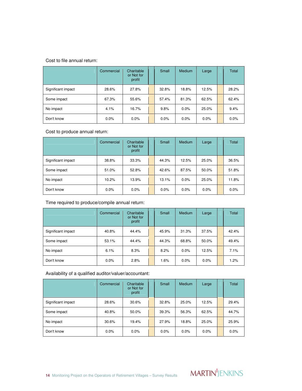Cost to file annual return:

|                    | Commercial | Charitable<br>or Not for<br>profit | Small | <b>Medium</b> | Large   | Total   |
|--------------------|------------|------------------------------------|-------|---------------|---------|---------|
| Significant impact | 28.6%      | 27.8%                              | 32.8% | 18.8%         | 12.5%   | 28.2%   |
| Some impact        | 67.3%      | 55.6%                              | 57.4% | 81.3%         | 62.5%   | 62.4%   |
| No impact          | 4.1%       | 16.7%                              | 9.8%  | 0.0%          | 25.0%   | 9.4%    |
| Don't know         | 0.0%       | 0.0%                               | 0.0%  | 0.0%          | $0.0\%$ | $0.0\%$ |

Cost to produce annual return:

|                    | Commercial | Charitable<br>or Not for<br>profit | Small | <b>Medium</b> | Large   | Total   |
|--------------------|------------|------------------------------------|-------|---------------|---------|---------|
| Significant impact | 38.8%      | 33.3%                              | 44.3% | 12.5%         | 25.0%   | 36.5%   |
| Some impact        | 51.0%      | 52.8%                              | 42.6% | 87.5%         | 50.0%   | 51.8%   |
| No impact          | 10.2%      | 13.9%                              | 13.1% | 0.0%          | 25.0%   | 11.8%   |
| Don't know         | $0.0\%$    | 0.0%                               | 0.0%  | 0.0%          | $0.0\%$ | $0.0\%$ |

Time required to produce/compile annual return:

|                    | Commercial | Charitable<br>or Not for<br>profit | Small | Medium | Large   | Total |
|--------------------|------------|------------------------------------|-------|--------|---------|-------|
| Significant impact | 40.8%      | 44.4%                              | 45.9% | 31.3%  | 37.5%   | 42.4% |
| Some impact        | 53.1%      | 44.4%                              | 44.3% | 68.8%  | 50.0%   | 49.4% |
| No impact          | 6.1%       | 8.3%                               | 8.2%  | 0.0%   | 12.5%   | 7.1%  |
| Don't know         | 0.0%       | 2.8%                               | 1.6%  | 0.0%   | $0.0\%$ | 1.2%  |

Availability of a qualified auditor/valuer/accountant:

|                    | Commercial | Charitable<br>or Not for<br>profit | Small | Medium | Large   | Total   |
|--------------------|------------|------------------------------------|-------|--------|---------|---------|
| Significant impact | 28.6%      | 30.6%                              | 32.8% | 25.0%  | 12.5%   | 29.4%   |
| Some impact        | 40.8%      | 50.0%                              | 39.3% | 56.3%  | 62.5%   | 44.7%   |
| No impact          | 30.6%      | 19.4%                              | 27.9% | 18.8%  | 25.0%   | 25.9%   |
| Don't know         | 0.0%       | 0.0%                               | 0.0%  | 0.0%   | $0.0\%$ | $0.0\%$ |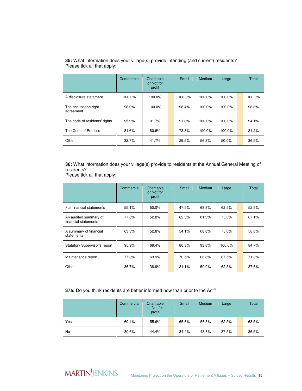|                                   | Commercial | Charitable<br>or Not for<br>profit | Small  | Medium | Large  | Total  |
|-----------------------------------|------------|------------------------------------|--------|--------|--------|--------|
| A disclosure statement            | 100.0%     | 100.0%                             | 100.0% | 100.0% | 100.0% | 100.0% |
| The occupation right<br>agreement | 98.0%      | 100.0%                             | 98.4%  | 100.0% | 100.0% | 98.8%  |
| The code of residents' rights     | 95.9%      | 91.7%                              | 91.8%  | 100.0% | 100.0% | 94.1%  |
| The Code of Practice              | 81.6%      | 80.6%                              | 73.8%  | 100.0% | 100.0% | 81.2%  |
| Other                             | 32.7%      | 41.7%                              | 29.5%  | 56.3%  | 50.0%  | 36.5%  |

**35:** What information does your village(s) provide intending (and current) residents? Please tick all that apply:

**36:** What information does your village(s) provide to residents at the Annual General Meeting of residents?

Please tick all that apply:

|                                               | Commercial | Charitable<br>or Not for<br>profit | Small | Medium | Large  | Total |
|-----------------------------------------------|------------|------------------------------------|-------|--------|--------|-------|
| Full financial statements                     | 55.1%      | 50.0%                              | 47.5% | 68.8%  | 62.5%  | 52.9% |
| An audited summary of<br>financial statements | 77.6%      | 52.8%                              | 62.3% | 81.3%  | 75.0%  | 67.1% |
| A summary of financial<br>statements          | 63.3%      | 52.8%                              | 54.1% | 68.8%  | 75.0%  | 58.8% |
| <b>Statutory Supervisor's report</b>          | 95.9%      | 69.4%                              | 80.3% | 93.8%  | 100.0% | 84.7% |
| Maintenance report                            | 77.6%      | 63.9%                              | 70.5% | 68.8%  | 87.5%  | 71.8% |
| Other                                         | 36.7%      | 38.9%                              | 31.1% | 50.0%  | 62.5%  | 37.6% |

#### **37a:** Do you think residents are better informed now than prior to the Act?

|     | Commercial | Charitable<br>or Not for<br>profit | Small | Medium | Large | Total |
|-----|------------|------------------------------------|-------|--------|-------|-------|
| Yes | 69.4%      | 55.6%                              | 65.6% | 56.3%  | 62.5% | 63.5% |
| No  | 30.6%      | 44.4%                              | 34.4% | 43.8%  | 37.5% | 36.5% |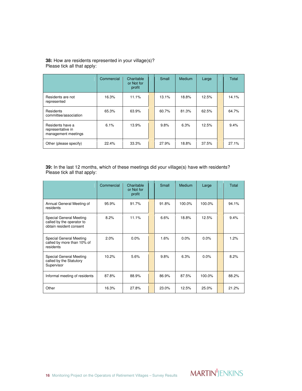#### **38:** How are residents represented in your village(s)? Please tick all that apply:

|                                                              | Commercial | Charitable<br>or Not for<br>profit | Small | <b>Medium</b> | Large | Total |
|--------------------------------------------------------------|------------|------------------------------------|-------|---------------|-------|-------|
| Residents are not<br>represented                             | 16.3%      | 11.1%                              | 13.1% | 18.8%         | 12.5% | 14.1% |
| Residents<br>committee/association                           | 65.3%      | 63.9%                              | 60.7% | 81.3%         | 62.5% | 64.7% |
| Residents have a<br>representative in<br>management meetings | 6.1%       | 13.9%                              | 9.8%  | 6.3%          | 12.5% | 9.4%  |
| Other (please specify)                                       | 22.4%      | 33.3%                              | 27.9% | 18.8%         | 37.5% | 27.1% |

**39:** In the last 12 months, which of these meetings did your village(s) have with residents? Please tick all that apply:

|                                                                                 | Commercial | Charitable<br>or Not for<br>profit | Small | <b>Medium</b> | Large  | Total |
|---------------------------------------------------------------------------------|------------|------------------------------------|-------|---------------|--------|-------|
| Annual General Meeting of<br>residents                                          | 95.9%      | 91.7%                              | 91.8% | 100.0%        | 100.0% | 94.1% |
| Special General Meeting<br>called by the operator to<br>obtain resident consent | 8.2%       | 11.1%                              | 6.6%  | 18.8%         | 12.5%  | 9.4%  |
| Special General Meeting<br>called by more than 10% of<br>residents              | 2.0%       | 0.0%                               | 1.6%  | 0.0%          | 0.0%   | 1.2%  |
| Special General Meeting<br>called by the Statutory<br>Supervisor                | 10.2%      | 5.6%                               | 9.8%  | 6.3%          | 0.0%   | 8.2%  |
| Informal meeting of residents                                                   | 87.8%      | 88.9%                              | 86.9% | 87.5%         | 100.0% | 88.2% |
| Other                                                                           | 16.3%      | 27.8%                              | 23.0% | 12.5%         | 25.0%  | 21.2% |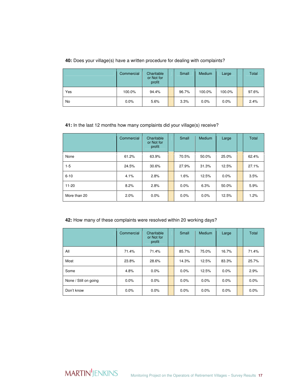#### **40:** Does your village(s) have a written procedure for dealing with complaints?

|     | Commercial | Charitable<br>or Not for<br>profit | Small | Medium  | Large  | <b>Total</b> |
|-----|------------|------------------------------------|-------|---------|--------|--------------|
| Yes | 100.0%     | 94.4%                              | 96.7% | 100.0%  | 100.0% | 97.6%        |
| No  | 0.0%       | 5.6%                               | 3.3%  | $0.0\%$ | 0.0%   | 2.4%         |

#### **41:** In the last 12 months how many complaints did your village(s) receive?

|              | Commercial | Charitable<br>or Not for<br>profit | Small | <b>Medium</b> | Large   | Total |
|--------------|------------|------------------------------------|-------|---------------|---------|-------|
| None         | 61.2%      | 63.9%                              | 70.5% | 50.0%         | 25.0%   | 62.4% |
| $1-5$        | 24.5%      | 30.6%                              | 27.9% | 31.3%         | 12.5%   | 27.1% |
| $6 - 10$     | 4.1%       | 2.8%                               | 1.6%  | 12.5%         | $0.0\%$ | 3.5%  |
| $11 - 20$    | 8.2%       | 2.8%                               | 0.0%  | 6.3%          | 50.0%   | 5.9%  |
| More than 20 | 2.0%       | 0.0%                               | 0.0%  | $0.0\%$       | 12.5%   | 1.2%  |

# **42:** How many of these complaints were resolved within 20 working days?

|                       | Commercial | Charitable<br>or Not for<br>profit | Small | Medium  | Large   | Total   |
|-----------------------|------------|------------------------------------|-------|---------|---------|---------|
| All                   | 71.4%      | 71.4%                              | 85.7% | 75.0%   | 16.7%   | 71.4%   |
| Most                  | 23.8%      | 28.6%                              | 14.3% | 12.5%   | 83.3%   | 25.7%   |
| Some                  | 4.8%       | 0.0%                               | 0.0%  | 12.5%   | $0.0\%$ | 2.9%    |
| None / Still on going | $0.0\%$    | 0.0%                               | 0.0%  | 0.0%    | $0.0\%$ | 0.0%    |
| Don't know            | 0.0%       | 0.0%                               | 0.0%  | $0.0\%$ | $0.0\%$ | $0.0\%$ |

MARTIN<sup>I</sup>JENKINS Monitoring Project on the Operators of Retirement Villages – Survey Results 17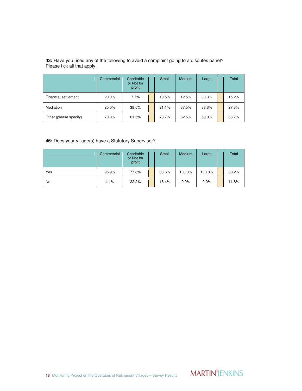| 43: Have you used any of the following to avoid a complaint going to a disputes panel? |  |
|----------------------------------------------------------------------------------------|--|
| Please tick all that apply:                                                            |  |

|                        | Commercial | Charitable<br>or Not for<br>profit | Small | Medium | Large | Total |
|------------------------|------------|------------------------------------|-------|--------|-------|-------|
| Financial settlement   | 20.0%      | 7.7%                               | 10.5% | 12.5%  | 33.3% | 15.2% |
| Mediation              | 20.0%      | 38.5%                              | 21.1% | 37.5%  | 33.3% | 27.3% |
| Other (please specify) | 70.0%      | 61.5%                              | 73.7% | 62.5%  | 50.0% | 66.7% |

## **46:** Does your village(s) have a Statutory Supervisor?

|     | Commercial | Charitable<br>or Not for<br>profit | Small | Medium | Large   | Total |
|-----|------------|------------------------------------|-------|--------|---------|-------|
| Yes | 95.9%      | 77.8%                              | 83.6% | 100.0% | 100.0%  | 88.2% |
| No  | 4.1%       | 22.2%                              | 16.4% | 0.0%   | $0.0\%$ | 11.8% |

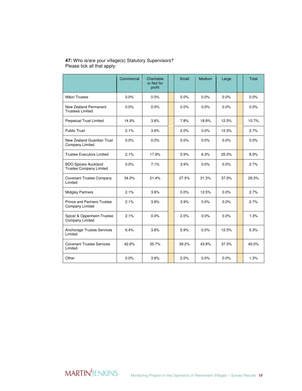#### **47:** Who is/are your village(s) Statutory Supervisors? Please tick all that apply:

|                                                              | Commercial | Charitable<br>or Not for<br>profit | Small | <b>Medium</b> | Large | <b>Total</b> |
|--------------------------------------------------------------|------------|------------------------------------|-------|---------------|-------|--------------|
| Māori Trustee                                                | 0.0%       | 0.0%                               | 0.0%  | 0.0%          | 0.0%  | 0.0%         |
| New Zealand Permanent<br><b>Trustees Limited</b>             | 0.0%       | 0.0%                               | 0.0%  | 0.0%          | 0.0%  | 0.0%         |
| Perpetual Trust Limited                                      | 14.9%      | 3.6%                               | 7.8%  | 18.8%         | 12.5% | 10.7%        |
| Public Trust                                                 | 2.1%       | 3.6%                               | 2.0%  | 0.0%          | 12.5% | 2.7%         |
| New Zealand Guardian Trust<br>Company Limited                | 0.0%       | 0.0%                               | 0.0%  | 0.0%          | 0.0%  | 0.0%         |
| <b>Trustee Executors Limited</b>                             | 2.1%       | 17.9%                              | 5.9%  | 6.3%          | 25.0% | 8.0%         |
| <b>BDO Spicers Auckland</b><br>Trustee Company Limited       | 0.0%       | 7.1%                               | 3.9%  | 0.0%          | 0.0%  | 2.7%         |
| <b>Covenant Trustee Company</b><br>Limited                   | 34.0%      | 21.4%                              | 27.5% | 31.3%         | 37.5% | 29.3%        |
| <b>Midgley Partners</b>                                      | 2.1%       | 3.6%                               | 0.0%  | 12.5%         | 0.0%  | 2.7%         |
| <b>Prince and Partners Trustee</b><br><b>Company Limited</b> | 2.1%       | 3.6%                               | 3.9%  | 0.0%          | 0.0%  | 2.7%         |
| Spicer & Oppenheim Trustee<br>Company Limited                | 2.1%       | 0.0%                               | 2.0%  | 0.0%          | 0.0%  | 1.3%         |
| Anchorage Trustee Services<br>Limited                        | 6.4%       | 3.6%                               | 5.9%  | 0.0%          | 12.5% | 5.3%         |
| <b>Covenant Trustee Services</b><br>Limited                  | 42.6%      | 35.7%                              | 39.2% | 43.8%         | 37.5% | 40.0%        |
| Other                                                        | 0.0%       | 3.6%                               | 2.0%  | 0.0%          | 0.0%  | 1.3%         |

**MARTIN'JENKINS**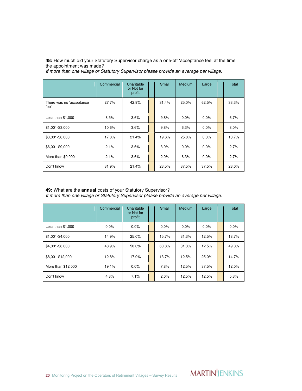**48:** How much did your Statutory Supervisor charge as a one-off 'acceptance fee' at the time the appointment was made?

If more than one village or Statutory Supervisor please provide an average per village.

|                                  | Commercial | Charitable<br>or Not for<br>profit | Small | Medium  | Large   | Total |
|----------------------------------|------------|------------------------------------|-------|---------|---------|-------|
| There was no 'acceptance<br>fee' | 27.7%      | 42.9%                              | 31.4% | 25.0%   | 62.5%   | 33.3% |
| Less than $$1,000$               | 8.5%       | 3.6%                               | 9.8%  | $0.0\%$ | $0.0\%$ | 6.7%  |
| \$1,001-\$3,000                  | 10.6%      | 3.6%                               | 9.8%  | 6.3%    | $0.0\%$ | 8.0%  |
| \$3,001-\$6,000                  | 17.0%      | 21.4%                              | 19.6% | 25.0%   | 0.0%    | 18.7% |
| \$6,001-\$9,000                  | 2.1%       | 3.6%                               | 3.9%  | 0.0%    | $0.0\%$ | 2.7%  |
| More than \$9,000                | 2.1%       | 3.6%                               | 2.0%  | 6.3%    | $0.0\%$ | 2.7%  |
| Don't know                       | 31.9%      | 21.4%                              | 23.5% | 37.5%   | 37.5%   | 28.0% |

#### **49:** What are the **annual** costs of your Statutory Supervisor?

If more than one village or Statutory Supervisor please provide an average per village.

|                    | Commercial | Charitable<br>or Not for<br>profit | Small   | Medium | Large   | Total |
|--------------------|------------|------------------------------------|---------|--------|---------|-------|
| Less than $$1,000$ | $0.0\%$    | $0.0\%$                            | $0.0\%$ | 0.0%   | $0.0\%$ | 0.0%  |
| \$1,001-\$4,000    | 14.9%      | 25.0%                              | 15.7%   | 31.3%  | 12.5%   | 18.7% |
| \$4,001-\$8,000    | 48.9%      | 50.0%                              | 60.8%   | 31.3%  | 12.5%   | 49.3% |
| \$8,001-\$12,000   | 12.8%      | 17.9%                              | 13.7%   | 12.5%  | 25.0%   | 14.7% |
| More than \$12,000 | 19.1%      | $0.0\%$                            | 7.8%    | 12.5%  | 37.5%   | 12.0% |
| Don't know         | 4.3%       | 7.1%                               | 2.0%    | 12.5%  | 12.5%   | 5.3%  |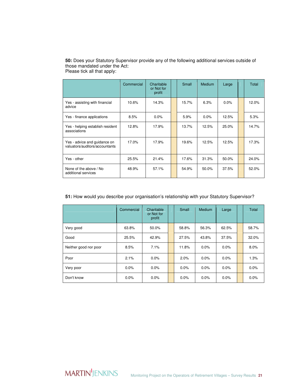|                                                                | Commercial | Charitable<br>or Not for<br>profit | Small | Medium  | Large | Total |
|----------------------------------------------------------------|------------|------------------------------------|-------|---------|-------|-------|
| Yes - assisting with financial<br>advice                       | 10.6%      | 14.3%                              | 15.7% | 6.3%    | 0.0%  | 12.0% |
| Yes - finance applications                                     | 8.5%       | $0.0\%$                            | 5.9%  | $0.0\%$ | 12.5% | 5.3%  |
| Yes - helping establish resident<br>associations               | 12.8%      | 17.9%                              | 13.7% | 12.5%   | 25.0% | 14.7% |
| Yes - advice and guidance on<br>valuators/auditors/accountants | 17.0%      | 17.9%                              | 19.6% | 12.5%   | 12.5% | 17.3% |
| Yes - other                                                    | 25.5%      | 21.4%                              | 17.6% | 31.3%   | 50.0% | 24.0% |
| None of the above / No<br>additional services                  | 48.9%      | 57.1%                              | 54.9% | 50.0%   | 37.5% | 52.0% |

**50:** Does your Statutory Supervisor provide any of the following additional services outside of those mandated under the Act: Please tick all that apply:

#### **51:** How would you describe your organisation's relationship with your Statutory Supervisor?

|                       | Commercial | Charitable<br>or Not for<br>profit | Small | Medium  | Large   | Total |
|-----------------------|------------|------------------------------------|-------|---------|---------|-------|
| Very good             | 63.8%      | 50.0%                              | 58.8% | 56.3%   | 62.5%   | 58.7% |
| Good                  | 25.5%      | 42.9%                              | 27.5% | 43.8%   | 37.5%   | 32.0% |
| Neither good nor poor | 8.5%       | 7.1%                               | 11.8% | 0.0%    | 0.0%    | 8.0%  |
| Poor                  | 2.1%       | 0.0%                               | 2.0%  | $0.0\%$ | $0.0\%$ | 1.3%  |
| Very poor             | 0.0%       | 0.0%                               | 0.0%  | $0.0\%$ | $0.0\%$ | 0.0%  |
| Don't know            | 0.0%       | 0.0%                               | 0.0%  | $0.0\%$ | $0.0\%$ | 0.0%  |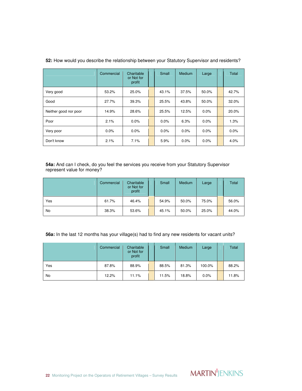|                       | Commercial | Charitable<br>or Not for<br>profit | Small | <b>Medium</b> | Large   | Total |
|-----------------------|------------|------------------------------------|-------|---------------|---------|-------|
| Very good             | 53.2%      | 25.0%                              | 43.1% | 37.5%         | 50.0%   | 42.7% |
| Good                  | 27.7%      | 39.3%                              | 25.5% | 43.8%         | 50.0%   | 32.0% |
| Neither good nor poor | 14.9%      | 28.6%                              | 25.5% | 12.5%         | $0.0\%$ | 20.0% |
| Poor                  | 2.1%       | 0.0%                               | 0.0%  | 6.3%          | 0.0%    | 1.3%  |
| Very poor             | $0.0\%$    | 0.0%                               | 0.0%  | 0.0%          | $0.0\%$ | 0.0%  |
| Don't know            | 2.1%       | 7.1%                               | 5.9%  | 0.0%          | $0.0\%$ | 4.0%  |

**52:** How would you describe the relationship between your Statutory Supervisor and residents?

**54a:** And can I check, do you feel the services you receive from your Statutory Supervisor represent value for money?

|     | Commercial | Charitable<br>or Not for<br>profit | Small | Medium | Large | Total |
|-----|------------|------------------------------------|-------|--------|-------|-------|
| Yes | 61.7%      | 46.4%                              | 54.9% | 50.0%  | 75.0% | 56.0% |
| No  | 38.3%      | 53.6%                              | 45.1% | 50.0%  | 25.0% | 44.0% |

#### **56a:** In the last 12 months has your village(s) had to find any new residents for vacant units?

|     | Commercial | Charitable<br>or Not for<br>profit | Small | Medium | Large  | Total |
|-----|------------|------------------------------------|-------|--------|--------|-------|
| Yes | 87.8%      | 88.9%                              | 88.5% | 81.3%  | 100.0% | 88.2% |
| No  | 12.2%      | 11.1%                              | 11.5% | 18.8%  | 0.0%   | 11.8% |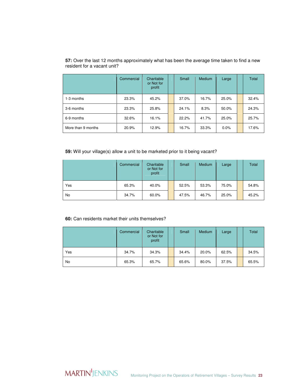|                    | Commercial | Charitable<br>or Not for<br>profit | Small | Medium | Large   | Total |
|--------------------|------------|------------------------------------|-------|--------|---------|-------|
| 1-3 months         | 23.3%      | 45.2%                              | 37.0% | 16.7%  | 25.0%   | 32.4% |
| 3-6 months         | 23.3%      | 25.8%                              | 24.1% | 8.3%   | 50.0%   | 24.3% |
| 6-9 months         | 32.6%      | 16.1%                              | 22.2% | 41.7%  | 25.0%   | 25.7% |
| More than 9 months | 20.9%      | 12.9%                              | 16.7% | 33.3%  | $0.0\%$ | 17.6% |

**57:** Over the last 12 months approximately what has been the average time taken to find a new resident for a vacant unit?

**59:** Will your village(s) allow a unit to be marketed prior to it being vacant?

|     | Commercial | Charitable<br>or Not for<br>profit | Small | Medium | Large | Total |
|-----|------------|------------------------------------|-------|--------|-------|-------|
| Yes | 65.3%      | 40.0%                              | 52.5% | 53.3%  | 75.0% | 54.8% |
| No  | 34.7%      | 60.0%                              | 47.5% | 46.7%  | 25.0% | 45.2% |

#### **60:** Can residents market their units themselves?

|     | Commercial | Charitable<br>or Not for<br>profit | Small | Medium | Large | Total |
|-----|------------|------------------------------------|-------|--------|-------|-------|
| Yes | 34.7%      | 34.3%                              | 34.4% | 20.0%  | 62.5% | 34.5% |
| No  | 65.3%      | 65.7%                              | 65.6% | 80.0%  | 37.5% | 65.5% |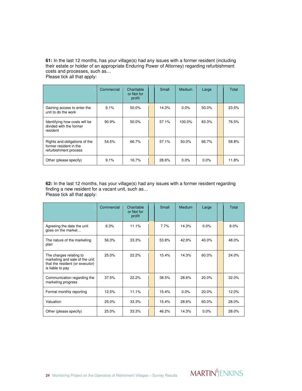**61:** In the last 12 months, has your village(s) had any issues with a former resident (including their estate or holder of an appropriate Enduring Power of Attorney) regarding refurbishment costs and processes, such as… Please tick all that apply:

|                                                                                  | Commercial | Charitable<br>or Not for<br>profit | Small | Medium  | Large | Total |
|----------------------------------------------------------------------------------|------------|------------------------------------|-------|---------|-------|-------|
| Gaining access to enter the<br>unit to do the work                               | 9.1%       | 50.0%                              | 14.3% | $0.0\%$ | 50.0% | 23.5% |
| Identifying how costs will be<br>divided with the former<br>resident             | 90.9%      | 50.0%                              | 57.1% | 100.0%  | 83.3% | 76.5% |
| Rights and obligations of the<br>former resident in the<br>refurbishment process | 54.5%      | 66.7%                              | 57.1% | 50.0%   | 66.7% | 58.8% |
| Other (please specify)                                                           | 9.1%       | 16.7%                              | 28.6% | 0.0%    | 0.0%  | 11.8% |

**62:** In the last 12 months, has your village(s) had any issues with a former resident regarding finding a new resident for a vacant unit, such as… Please tick all that apply:

|                                                                                                                  | Commercial | Charitable<br>or Not for<br>profit | Small | <b>Medium</b> | Large   | Total |
|------------------------------------------------------------------------------------------------------------------|------------|------------------------------------|-------|---------------|---------|-------|
| Agreeing the date the unit<br>goes on the market                                                                 | 6.3%       | 11.1%                              | 7.7%  | 14.3%         | $0.0\%$ | 8.0%  |
| The nature of the marketing<br>plan                                                                              | 56.3%      | 33.3%                              | 53.8% | 42.9%         | 40.0%   | 48.0% |
| The charges relating to<br>marketing and sale of the unit<br>that the resident (or executor)<br>is liable to pay | 25.0%      | 22.2%                              | 15.4% | 14.3%         | 60.0%   | 24.0% |
| Communication regarding the<br>marketing progress                                                                | 37.5%      | 22.2%                              | 38.5% | 28.6%         | 20.0%   | 32.0% |
| Formal monthly reporting                                                                                         | 12.5%      | 11.1%                              | 15.4% | 0.0%          | 20.0%   | 12.0% |
| Valuation                                                                                                        | 25.0%      | 33.3%                              | 15.4% | 28.6%         | 60.0%   | 28.0% |
| Other (please specify)                                                                                           | 25.0%      | 33.3%                              | 46.2% | 14.3%         | $0.0\%$ | 28.0% |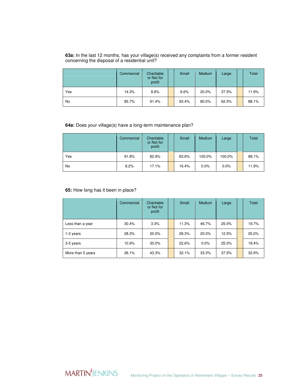**63a:** In the last 12 months, has your village(s) received any complaints from a former resident concerning the disposal of a residential unit?

|     | Commercial | Charitable<br>or Not for<br>profit | Small | Medium | Large | Total |
|-----|------------|------------------------------------|-------|--------|-------|-------|
| Yes | 14.3%      | 8.6%                               | 6.6%  | 20.0%  | 37.5% | 11.9% |
| No  | 85.7%      | 91.4%                              | 93.4% | 80.0%  | 62.5% | 88.1% |

#### **64a:** Does your village(s) have a long-term maintenance plan?

|     | Commercial | Charitable<br>or Not for<br>profit | Small | Medium | Large  | Total |
|-----|------------|------------------------------------|-------|--------|--------|-------|
| Yes | 91.8%      | 82.9%                              | 83.6% | 100.0% | 100.0% | 88.1% |
| No  | 8.2%       | 17.1%                              | 16.4% | 0.0%   | 0.0%   | 11.9% |

#### **65:** How long has it been in place?

|                   | Commercial | Charitable<br>or Not for<br>profit | Small | Medium  | Large | Total |
|-------------------|------------|------------------------------------|-------|---------|-------|-------|
| Less than a year  | 30.4%      | 3.3%                               | 11.3% | 46.7%   | 25.0% | 19.7% |
| 1-2 years         | 28.3%      | 20.0%                              | 28.3% | 20.0%   | 12.5% | 25.0% |
| 3-5 years         | 10.9%      | 30.0%                              | 22.6% | $0.0\%$ | 25.0% | 18.4% |
| More than 5 years | 26.1%      | 43.3%                              | 32.1% | 33.3%   | 37.5% | 32.9% |

**MARTIN'**JENKINS